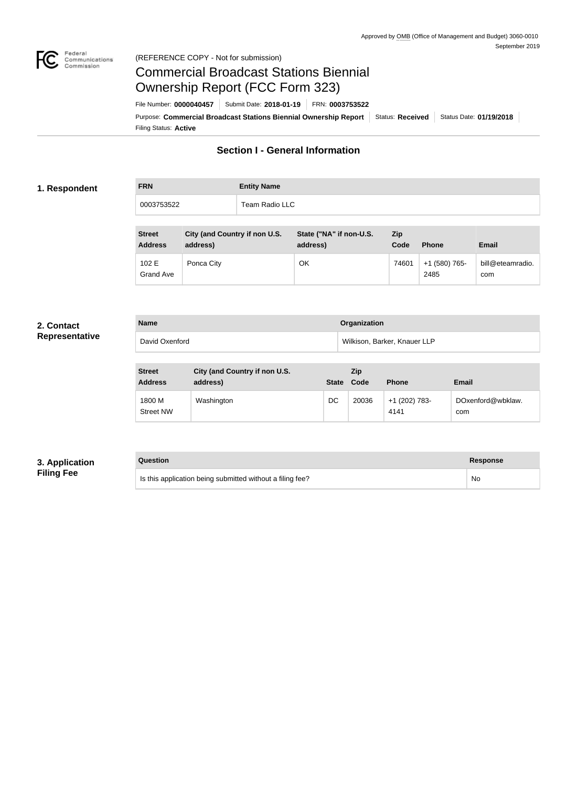

#### Federal<br>Communications<br>Commission (REFERENCE COPY - Not for submission)

# Commercial Broadcast Stations Biennial Ownership Report (FCC Form 323)

Filing Status: **Active** Purpose: Commercial Broadcast Stations Biennial Ownership Report Status: Received Status Date: 01/19/2018 File Number: **0000040457** Submit Date: **2018-01-19** FRN: **0003753522**

# **Section I - General Information**

#### **1. Respondent**

| <b>FRN</b> | <b>Entity Name</b> |
|------------|--------------------|
| 0003753522 | Team Radio LLC     |

| <b>Street</b><br><b>Address</b> | City (and Country if non U.S.<br>address) | State ("NA" if non-U.S.<br>address) | <b>Zip</b><br>Code | <b>Phone</b>          | <b>Email</b>            |
|---------------------------------|-------------------------------------------|-------------------------------------|--------------------|-----------------------|-------------------------|
| 102 E<br>Grand Ave              | Ponca City                                | OK                                  | 74601              | +1 (580) 765-<br>2485 | bill@eteamradio.<br>com |

#### **2. Contact Representative**

| <b>Name</b>    | Organization                 |
|----------------|------------------------------|
| David Oxenford | Wilkison, Barker, Knauer LLP |

| <b>Street</b><br><b>Address</b> | City (and Country if non U.S.<br>address) | <b>State</b> | Zip<br>Code | <b>Phone</b>          | <b>Email</b>             |
|---------------------------------|-------------------------------------------|--------------|-------------|-----------------------|--------------------------|
| 1800 M<br><b>Street NW</b>      | Washington                                | DC           | 20036       | +1 (202) 783-<br>4141 | DOxenford@wbklaw.<br>com |

## **3. Application Filing Fee**

## **Question Response**

| Is this application being submitted without a filing fee? | No |
|-----------------------------------------------------------|----|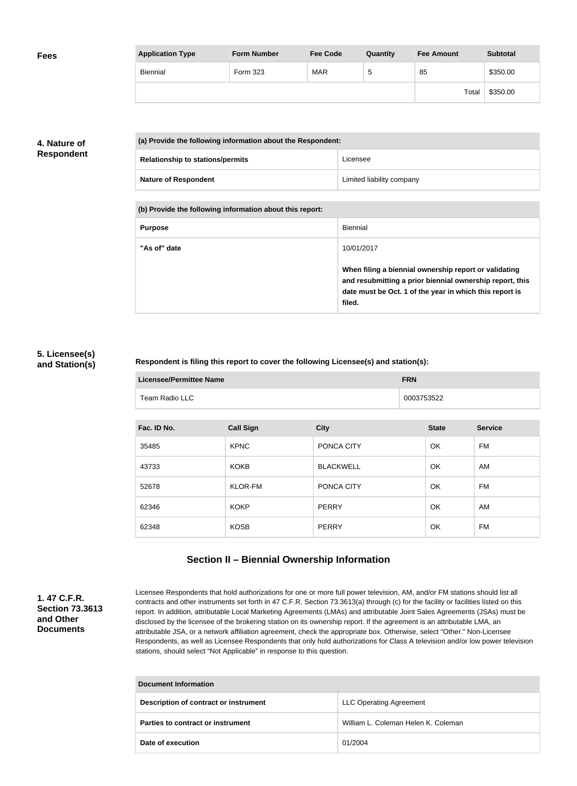| <b>Fees</b> | <b>Application Type</b> | <b>Form Number</b> | <b>Fee Code</b> | Quantity | <b>Fee Amount</b> | <b>Subtotal</b> |
|-------------|-------------------------|--------------------|-----------------|----------|-------------------|-----------------|
|             | Biennial                | Form 323           | <b>MAR</b>      | G        | 85                | \$350.00        |
|             |                         |                    |                 |          | Total             | \$350.00        |

# **4. Nature of Respondent**

| (a) Provide the following information about the Respondent: |                           |
|-------------------------------------------------------------|---------------------------|
| <b>Relationship to stations/permits</b>                     | Licensee                  |
| <b>Nature of Respondent</b>                                 | Limited liability company |

**(b) Provide the following information about this report:**

| <b>Purpose</b> | Biennial                                                                                                                                                                               |
|----------------|----------------------------------------------------------------------------------------------------------------------------------------------------------------------------------------|
| "As of" date   | 10/01/2017                                                                                                                                                                             |
|                | When filing a biennial ownership report or validating<br>and resubmitting a prior biennial ownership report, this<br>date must be Oct. 1 of the year in which this report is<br>filed. |

### **5. Licensee(s) and Station(s)**

#### **Respondent is filing this report to cover the following Licensee(s) and station(s):**

| Licensee/Permittee Name | <b>FRN</b> |
|-------------------------|------------|
| Team Radio LLC          | 0003753522 |

| Fac. ID No. | <b>Call Sign</b> | <b>City</b>      | <b>State</b> | <b>Service</b> |
|-------------|------------------|------------------|--------------|----------------|
| 35485       | <b>KPNC</b>      | PONCA CITY       | OK           | <b>FM</b>      |
| 43733       | <b>KOKB</b>      | <b>BLACKWELL</b> | OK           | AM             |
| 52678       | <b>KLOR-FM</b>   | PONCA CITY       | OK           | <b>FM</b>      |
| 62346       | <b>KOKP</b>      | <b>PERRY</b>     | OK           | AM             |
| 62348       | <b>KOSB</b>      | PERRY            | OK           | FM             |

# **Section II – Biennial Ownership Information**

### **1. 47 C.F.R. Section 73.3613 and Other Documents**

Licensee Respondents that hold authorizations for one or more full power television, AM, and/or FM stations should list all contracts and other instruments set forth in 47 C.F.R. Section 73.3613(a) through (c) for the facility or facilities listed on this report. In addition, attributable Local Marketing Agreements (LMAs) and attributable Joint Sales Agreements (JSAs) must be disclosed by the licensee of the brokering station on its ownership report. If the agreement is an attributable LMA, an attributable JSA, or a network affiliation agreement, check the appropriate box. Otherwise, select "Other." Non-Licensee Respondents, as well as Licensee Respondents that only hold authorizations for Class A television and/or low power television stations, should select "Not Applicable" in response to this question.

| Document Information                  |                                     |  |
|---------------------------------------|-------------------------------------|--|
| Description of contract or instrument | <b>LLC Operating Agreement</b>      |  |
| Parties to contract or instrument     | William L. Coleman Helen K. Coleman |  |
| Date of execution                     | 01/2004                             |  |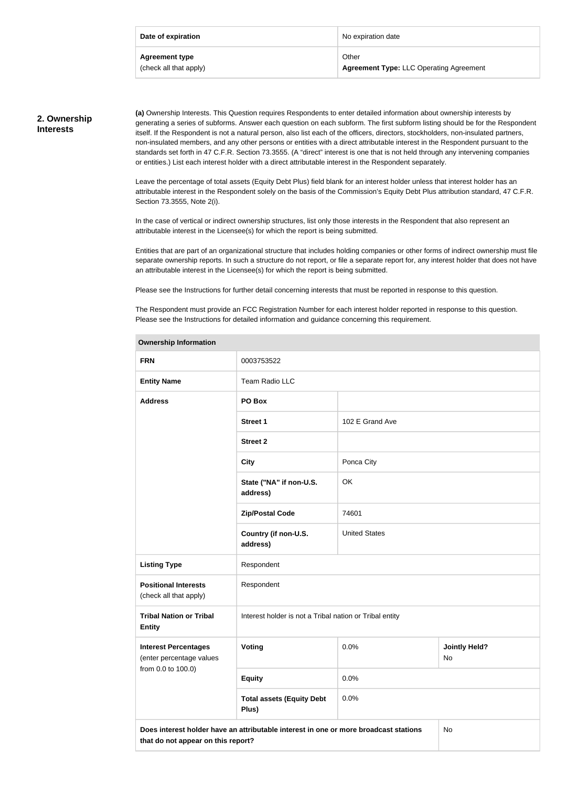| Date of expiration     | No expiration date                             |
|------------------------|------------------------------------------------|
| <b>Agreement type</b>  | Other                                          |
| (check all that apply) | <b>Agreement Type: LLC Operating Agreement</b> |

# **2. Ownership Interests**

**(a)** Ownership Interests. This Question requires Respondents to enter detailed information about ownership interests by generating a series of subforms. Answer each question on each subform. The first subform listing should be for the Respondent itself. If the Respondent is not a natural person, also list each of the officers, directors, stockholders, non-insulated partners, non-insulated members, and any other persons or entities with a direct attributable interest in the Respondent pursuant to the standards set forth in 47 C.F.R. Section 73.3555. (A "direct" interest is one that is not held through any intervening companies or entities.) List each interest holder with a direct attributable interest in the Respondent separately.

Leave the percentage of total assets (Equity Debt Plus) field blank for an interest holder unless that interest holder has an attributable interest in the Respondent solely on the basis of the Commission's Equity Debt Plus attribution standard, 47 C.F.R. Section 73.3555, Note 2(i).

In the case of vertical or indirect ownership structures, list only those interests in the Respondent that also represent an attributable interest in the Licensee(s) for which the report is being submitted.

Entities that are part of an organizational structure that includes holding companies or other forms of indirect ownership must file separate ownership reports. In such a structure do not report, or file a separate report for, any interest holder that does not have an attributable interest in the Licensee(s) for which the report is being submitted.

Please see the Instructions for further detail concerning interests that must be reported in response to this question.

**Ownership Information**

The Respondent must provide an FCC Registration Number for each interest holder reported in response to this question. Please see the Instructions for detailed information and guidance concerning this requirement.

| OWNERSHIP INTOHIAGON                                                                                                             |                                                         |                      |                            |
|----------------------------------------------------------------------------------------------------------------------------------|---------------------------------------------------------|----------------------|----------------------------|
| <b>FRN</b>                                                                                                                       | 0003753522                                              |                      |                            |
| <b>Entity Name</b>                                                                                                               | Team Radio LLC                                          |                      |                            |
| <b>Address</b>                                                                                                                   | PO Box                                                  |                      |                            |
|                                                                                                                                  | <b>Street 1</b>                                         | 102 E Grand Ave      |                            |
|                                                                                                                                  | <b>Street 2</b>                                         |                      |                            |
|                                                                                                                                  | <b>City</b>                                             | Ponca City           |                            |
|                                                                                                                                  | State ("NA" if non-U.S.<br>address)                     | OK                   |                            |
|                                                                                                                                  | <b>Zip/Postal Code</b>                                  | 74601                |                            |
|                                                                                                                                  | Country (if non-U.S.<br>address)                        | <b>United States</b> |                            |
| <b>Listing Type</b>                                                                                                              | Respondent                                              |                      |                            |
| <b>Positional Interests</b><br>(check all that apply)                                                                            | Respondent                                              |                      |                            |
| <b>Tribal Nation or Tribal</b><br><b>Entity</b>                                                                                  | Interest holder is not a Tribal nation or Tribal entity |                      |                            |
| <b>Interest Percentages</b><br>(enter percentage values                                                                          | <b>Voting</b>                                           | 0.0%                 | <b>Jointly Held?</b><br>No |
| from 0.0 to 100.0)                                                                                                               | <b>Equity</b>                                           | 0.0%                 |                            |
|                                                                                                                                  | <b>Total assets (Equity Debt</b><br>Plus)               | 0.0%                 |                            |
| Does interest holder have an attributable interest in one or more broadcast stations<br>No<br>that do not appear on this report? |                                                         |                      |                            |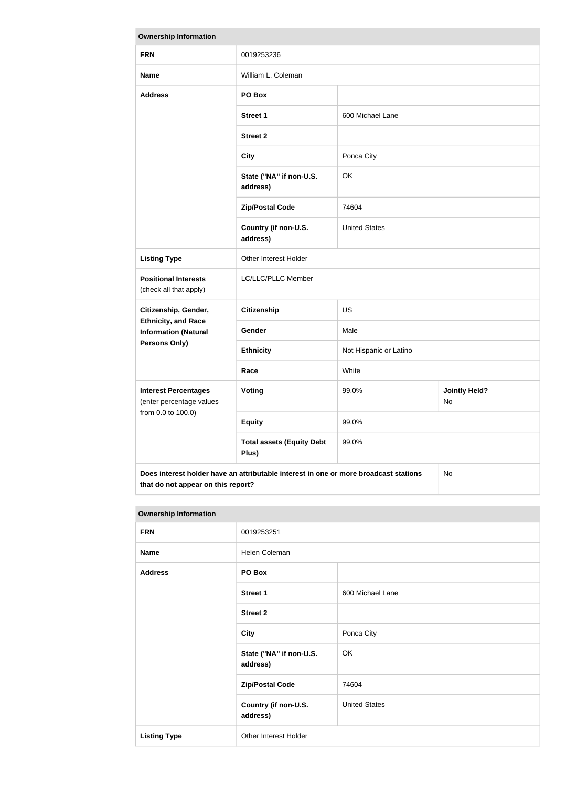| <b>Ownership Information</b>                                                               |                                           |                        |                            |
|--------------------------------------------------------------------------------------------|-------------------------------------------|------------------------|----------------------------|
| <b>FRN</b>                                                                                 | 0019253236                                |                        |                            |
| <b>Name</b>                                                                                | William L. Coleman                        |                        |                            |
| <b>Address</b>                                                                             | PO Box                                    |                        |                            |
|                                                                                            | <b>Street 1</b>                           | 600 Michael Lane       |                            |
|                                                                                            | <b>Street 2</b>                           |                        |                            |
|                                                                                            | <b>City</b>                               | Ponca City             |                            |
|                                                                                            | State ("NA" if non-U.S.<br>address)       | OK                     |                            |
|                                                                                            | <b>Zip/Postal Code</b>                    | 74604                  |                            |
|                                                                                            | Country (if non-U.S.<br>address)          | <b>United States</b>   |                            |
| <b>Listing Type</b>                                                                        | Other Interest Holder                     |                        |                            |
| <b>Positional Interests</b><br>(check all that apply)                                      | LC/LLC/PLLC Member                        |                        |                            |
| Citizenship, Gender,                                                                       | <b>Citizenship</b>                        | US                     |                            |
| <b>Ethnicity, and Race</b><br><b>Information (Natural</b>                                  | <b>Gender</b>                             | Male                   |                            |
| <b>Persons Only)</b>                                                                       | <b>Ethnicity</b>                          | Not Hispanic or Latino |                            |
|                                                                                            | Race                                      | White                  |                            |
| <b>Interest Percentages</b><br>(enter percentage values                                    | Voting                                    | 99.0%                  | <b>Jointly Held?</b><br>No |
| from 0.0 to 100.0)                                                                         | <b>Equity</b>                             | 99.0%                  |                            |
|                                                                                            | <b>Total assets (Equity Debt</b><br>Plus) | 99.0%                  |                            |
| Does interest holder have an attributable interest in one or more broadcast stations<br>No |                                           |                        |                            |

| <b>Ownership Information</b> |                                     |                      |  |
|------------------------------|-------------------------------------|----------------------|--|
| <b>FRN</b>                   | 0019253251                          |                      |  |
| <b>Name</b>                  | Helen Coleman                       |                      |  |
| <b>Address</b>               | PO Box                              |                      |  |
|                              | <b>Street 1</b>                     | 600 Michael Lane     |  |
|                              | <b>Street 2</b>                     |                      |  |
|                              | <b>City</b>                         | Ponca City           |  |
|                              | State ("NA" if non-U.S.<br>address) | OK                   |  |
|                              | <b>Zip/Postal Code</b>              | 74604                |  |
|                              | Country (if non-U.S.<br>address)    | <b>United States</b> |  |
| <b>Listing Type</b>          | Other Interest Holder               |                      |  |

**that do not appear on this report?**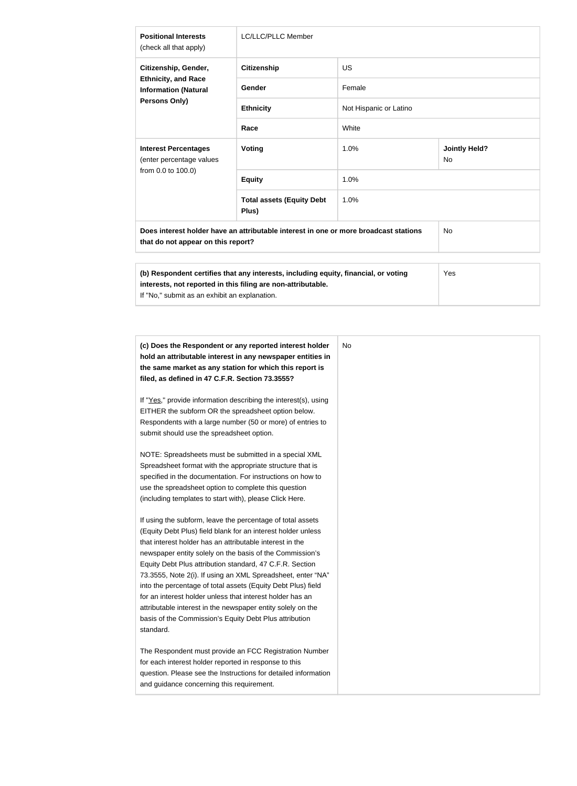| <b>Positional Interests</b><br>(check all that apply)                                                                                                                                                       | <b>LC/LLC/PLLC Member</b>                 |                        |                                   |
|-------------------------------------------------------------------------------------------------------------------------------------------------------------------------------------------------------------|-------------------------------------------|------------------------|-----------------------------------|
| Citizenship, Gender,<br><b>Ethnicity, and Race</b><br><b>Information (Natural</b><br><b>Persons Only)</b>                                                                                                   | <b>Citizenship</b>                        | <b>US</b>              |                                   |
|                                                                                                                                                                                                             | <b>Gender</b>                             | Female                 |                                   |
|                                                                                                                                                                                                             | <b>Ethnicity</b>                          | Not Hispanic or Latino |                                   |
|                                                                                                                                                                                                             | Race                                      | White                  |                                   |
| <b>Interest Percentages</b><br>(enter percentage values<br>from 0.0 to 100.0)                                                                                                                               | Voting                                    | 1.0%                   | <b>Jointly Held?</b><br><b>No</b> |
|                                                                                                                                                                                                             | <b>Equity</b>                             | 1.0%                   |                                   |
|                                                                                                                                                                                                             | <b>Total assets (Equity Debt</b><br>Plus) | 1.0%                   |                                   |
| Does interest holder have an attributable interest in one or more broadcast stations<br><b>No</b><br>that do not appear on this report?                                                                     |                                           |                        |                                   |
| (b) Respondent certifies that any interests, including equity, financial, or voting<br>Yes<br>interests, not reported in this filing are non-attributable.<br>If "No," submit as an exhibit an explanation. |                                           |                        |                                   |

| (c) Does the Respondent or any reported interest holder<br>hold an attributable interest in any newspaper entities in<br>the same market as any station for which this report is<br>filed, as defined in 47 C.F.R. Section 73.3555?                                                                                                                                                                                                                                                                                                                                                                                                              | No |
|--------------------------------------------------------------------------------------------------------------------------------------------------------------------------------------------------------------------------------------------------------------------------------------------------------------------------------------------------------------------------------------------------------------------------------------------------------------------------------------------------------------------------------------------------------------------------------------------------------------------------------------------------|----|
| If "Yes," provide information describing the interest(s), using<br>EITHER the subform OR the spreadsheet option below.<br>Respondents with a large number (50 or more) of entries to<br>submit should use the spreadsheet option.                                                                                                                                                                                                                                                                                                                                                                                                                |    |
| NOTE: Spreadsheets must be submitted in a special XML<br>Spreadsheet format with the appropriate structure that is<br>specified in the documentation. For instructions on how to<br>use the spreadsheet option to complete this question<br>(including templates to start with), please Click Here.                                                                                                                                                                                                                                                                                                                                              |    |
| If using the subform, leave the percentage of total assets<br>(Equity Debt Plus) field blank for an interest holder unless<br>that interest holder has an attributable interest in the<br>newspaper entity solely on the basis of the Commission's<br>Equity Debt Plus attribution standard, 47 C.F.R. Section<br>73.3555, Note 2(i). If using an XML Spreadsheet, enter "NA"<br>into the percentage of total assets (Equity Debt Plus) field<br>for an interest holder unless that interest holder has an<br>attributable interest in the newspaper entity solely on the<br>basis of the Commission's Equity Debt Plus attribution<br>standard. |    |
| The Respondent must provide an FCC Registration Number<br>for each interest holder reported in response to this<br>question. Please see the Instructions for detailed information<br>and guidance concerning this requirement.                                                                                                                                                                                                                                                                                                                                                                                                                   |    |